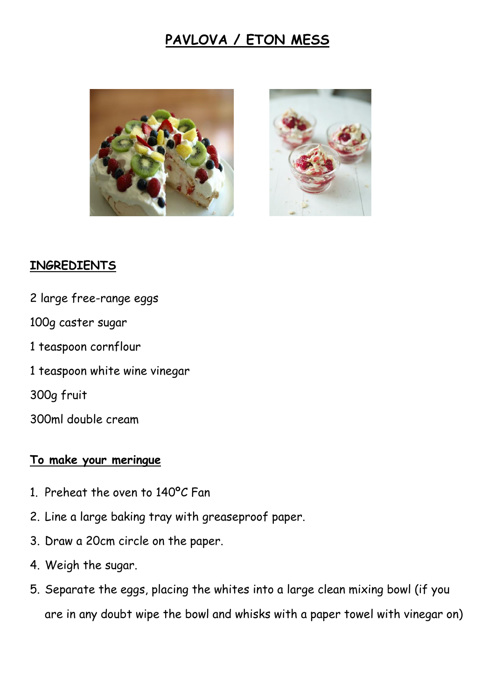# **PAVLOVA / ETON MESS**





## **INGREDIENTS**

2 large free-range eggs 100g caster sugar 1 teaspoon cornflour 1 teaspoon white wine vinegar 300g fruit 300ml double cream

## **To make your meringue**

- 1. Preheat the oven to 140ºC Fan
- 2. Line a large baking tray with greaseproof paper.
- 3. Draw a 20cm circle on the paper.
- 4. Weigh the sugar.
- 5. Separate the eggs, placing the whites into a large clean mixing bowl (if you are in any doubt wipe the bowl and whisks with a paper towel with vinegar on)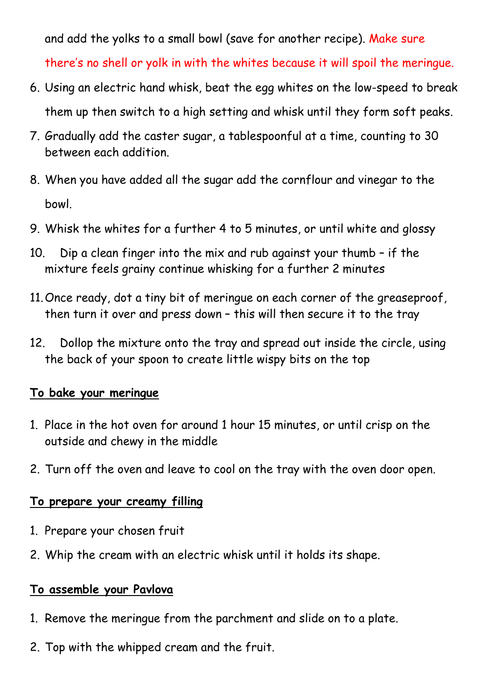and add the yolks to a small bowl (save for another recipe). Make sure there's no shell or yolk in with the whites because it will spoil the meringue.

- 6. Using an electric hand whisk, beat the egg whites on the low-speed to break them up then switch to a high setting and whisk until they form soft peaks.
- 7. Gradually add the caster sugar, a tablespoonful at a time, counting to 30 between each addition.
- 8. When you have added all the sugar add the cornflour and vinegar to the bowl.
- 9. Whisk the whites for a further 4 to 5 minutes, or until white and glossy
- 10. Dip a clean finger into the mix and rub against your thumb if the mixture feels grainy continue whisking for a further 2 minutes
- 11.Once ready, dot a tiny bit of meringue on each corner of the greaseproof, then turn it over and press down – this will then secure it to the tray
- 12. Dollop the mixture onto the tray and spread out inside the circle, using the back of your spoon to create little wispy bits on the top

## **To bake your meringue**

- 1. Place in the hot oven for around 1 hour 15 minutes, or until crisp on the outside and chewy in the middle
- 2. Turn off the oven and leave to cool on the tray with the oven door open.

## **To prepare your creamy filling**

- 1. Prepare your chosen fruit
- 2. Whip the cream with an electric whisk until it holds its shape.

## **To assemble your Pavlova**

- 1. Remove the meringue from the parchment and slide on to a plate.
- 2. Top with the whipped cream and the fruit.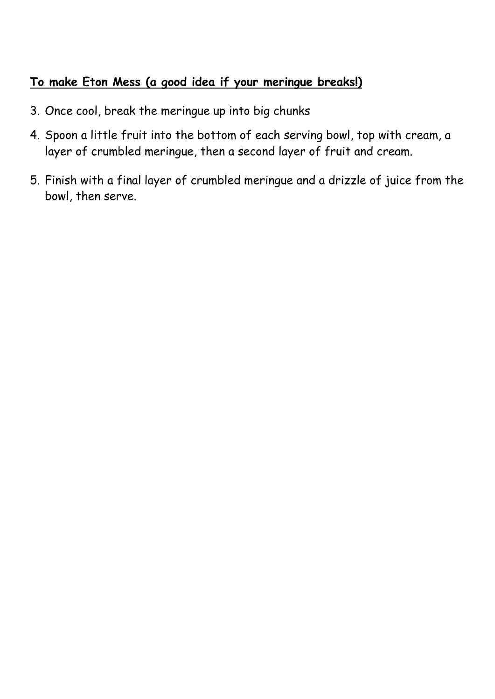## **To make Eton Mess (a good idea if your meringue breaks!)**

- 3. Once cool, break the meringue up into big chunks
- 4. Spoon a little fruit into the bottom of each serving bowl, top with cream, a layer of crumbled meringue, then a second layer of fruit and cream.
- 5. Finish with a final layer of crumbled meringue and a drizzle of juice from the bowl, then serve.